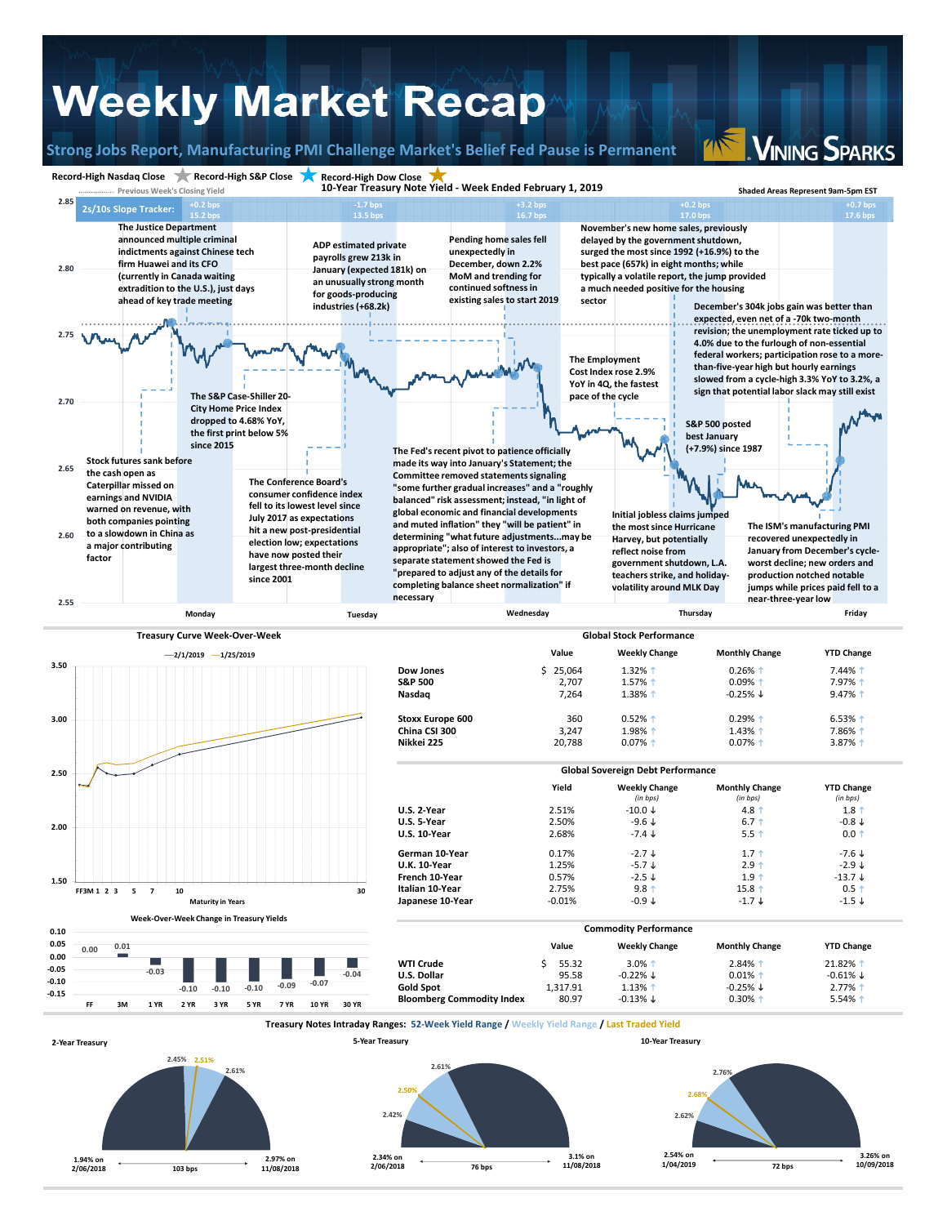## **Weekly Market Recap**

**Strong Jobs Report, Manufacturing PMI Challenge Market's Belief Fed Pause is Permanent**

**VINING SPARKS**